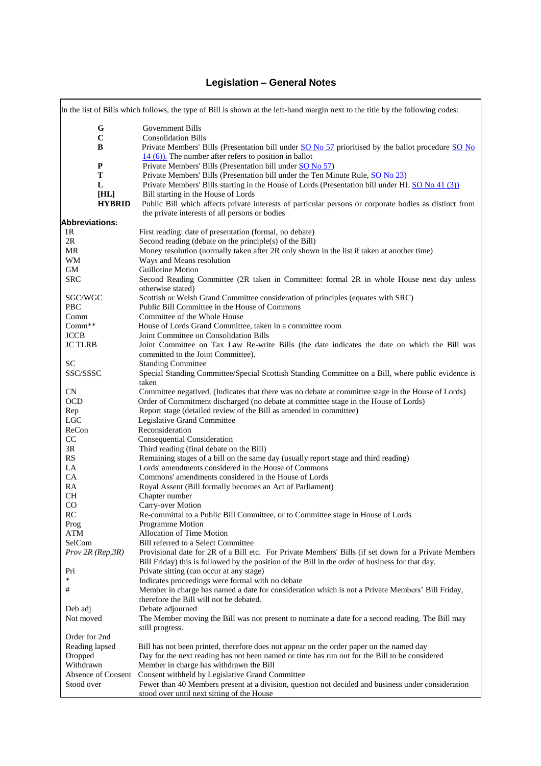## **Legislation – General Notes**

|                            | In the list of Bills which follows, the type of Bill is shown at the left-hand margin next to the title by the following codes:                                |
|----------------------------|----------------------------------------------------------------------------------------------------------------------------------------------------------------|
| G                          | <b>Government Bills</b>                                                                                                                                        |
| $\bf C$                    | <b>Consolidation Bills</b>                                                                                                                                     |
| B                          | Private Members' Bills (Presentation bill under SO No 57 prioritised by the ballot procedure SO No<br>$14(6)$ ). The number after refers to position in ballot |
| $\mathbf{P}$               | Private Members' Bills (Presentation bill under SO No 57)                                                                                                      |
| T                          | Private Members' Bills (Presentation bill under the Ten Minute Rule, SO No 23)                                                                                 |
| L                          | Private Members' Bills starting in the House of Lords (Presentation bill under HL SO No 41 (3))                                                                |
| [HL]                       | Bill starting in the House of Lords                                                                                                                            |
| <b>HYBRID</b>              | Public Bill which affects private interests of particular persons or corporate bodies as distinct from                                                         |
|                            | the private interests of all persons or bodies                                                                                                                 |
| <b>Abbreviations:</b>      |                                                                                                                                                                |
| 1R                         | First reading: date of presentation (formal, no debate)                                                                                                        |
| 2R                         | Second reading (debate on the principle(s) of the Bill)                                                                                                        |
| MR                         | Money resolution (normally taken after 2R only shown in the list if taken at another time)                                                                     |
| WM                         | Ways and Means resolution                                                                                                                                      |
| GM                         | Guillotine Motion                                                                                                                                              |
| <b>SRC</b>                 | Second Reading Committee (2R taken in Committee: formal 2R in whole House next day unless<br>otherwise stated)                                                 |
| SGC/WGC                    | Scottish or Welsh Grand Committee consideration of principles (equates with SRC)                                                                               |
| PBC                        | Public Bill Committee in the House of Commons<br>Committee of the Whole House                                                                                  |
| Comm<br>Comm <sup>**</sup> |                                                                                                                                                                |
| <b>JCCB</b>                | House of Lords Grand Committee, taken in a committee room<br>Joint Committee on Consolidation Bills                                                            |
| <b>JC TLRB</b>             | Joint Committee on Tax Law Re-write Bills (the date indicates the date on which the Bill was                                                                   |
|                            | committed to the Joint Committee).                                                                                                                             |
| <b>SC</b>                  | <b>Standing Committee</b>                                                                                                                                      |
| SSC/SSSC                   | Special Standing Committee/Special Scottish Standing Committee on a Bill, where public evidence is                                                             |
|                            | taken                                                                                                                                                          |
| <b>CN</b>                  | Committee negatived. (Indicates that there was no debate at committee stage in the House of Lords)                                                             |
| <b>OCD</b>                 | Order of Commitment discharged (no debate at committee stage in the House of Lords)                                                                            |
| Rep                        | Report stage (detailed review of the Bill as amended in committee)                                                                                             |
| <b>LGC</b>                 | Legislative Grand Committee                                                                                                                                    |
| ReCon                      | Reconsideration                                                                                                                                                |
| CC                         | <b>Consequential Consideration</b>                                                                                                                             |
| 3R                         | Third reading (final debate on the Bill)                                                                                                                       |
| RS                         | Remaining stages of a bill on the same day (usually report stage and third reading)                                                                            |
| LA                         | Lords' amendments considered in the House of Commons                                                                                                           |
| CA                         | Commons' amendments considered in the House of Lords                                                                                                           |
| RA                         | Royal Assent (Bill formally becomes an Act of Parliament)                                                                                                      |
| <b>CH</b>                  | Chapter number                                                                                                                                                 |
| CO                         | Carry-over Motion                                                                                                                                              |
| RC                         | Re-committal to a Public Bill Committee, or to Committee stage in House of Lords                                                                               |
| Prog                       | Programme Motion                                                                                                                                               |
| ATM                        | <b>Allocation of Time Motion</b>                                                                                                                               |
| SelCom                     | Bill referred to a Select Committee                                                                                                                            |
| Prov 2R (Rep, 3R)          | Provisional date for 2R of a Bill etc. For Private Members' Bills (if set down for a Private Members                                                           |
|                            | Bill Friday) this is followed by the position of the Bill in the order of business for that day.                                                               |
| Pri                        | Private sitting (can occur at any stage)                                                                                                                       |
| $\ast$                     | Indicates proceedings were formal with no debate                                                                                                               |
| #                          | Member in charge has named a date for consideration which is not a Private Members' Bill Friday,                                                               |
|                            | therefore the Bill will not be debated.                                                                                                                        |
| Deb adj                    | Debate adjourned                                                                                                                                               |
| Not moved                  | The Member moving the Bill was not present to nominate a date for a second reading. The Bill may<br>still progress.                                            |
| Order for 2nd              |                                                                                                                                                                |
| Reading lapsed             | Bill has not been printed, therefore does not appear on the order paper on the named day                                                                       |
| Dropped                    | Day for the next reading has not been named or time has run out for the Bill to be considered                                                                  |
| Withdrawn                  | Member in charge has withdrawn the Bill                                                                                                                        |
| Absence of Consent         | Consent withheld by Legislative Grand Committee                                                                                                                |
| Stood over                 | Fewer than 40 Members present at a division, question not decided and business under consideration                                                             |
|                            | stood over until next sitting of the House                                                                                                                     |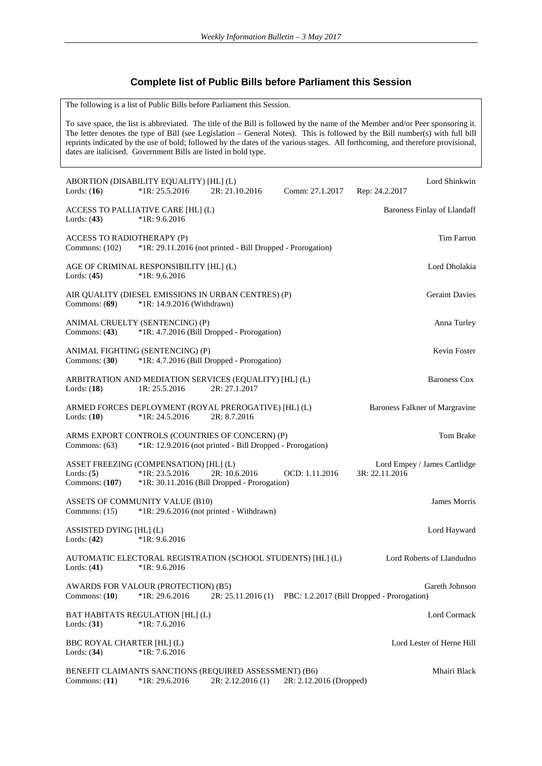## **Complete list of Public Bills before Parliament this Session**

The following is a list of Public Bills before Parliament this Session.

To save space, the list is abbreviated. The title of the Bill is followed by the name of the Member and/or Peer sponsoring it. The letter denotes the type of Bill (see Legislation – General Notes). This is followed by the Bill number(s) with full bill reprints indicated by the use of bold; followed by the dates of the various stages. All forthcoming, and therefore provisional, dates are italicised. Government Bills are listed in bold type.

|                                                | ABORTION (DISABILITY EQUALITY) [HL] (L)                    |                                                                                                              |                         | Lord Shinkwin                                                |  |
|------------------------------------------------|------------------------------------------------------------|--------------------------------------------------------------------------------------------------------------|-------------------------|--------------------------------------------------------------|--|
| Lords: $(16)$                                  | $*1R: 25.5.2016$                                           | 2R: 21.10.2016                                                                                               | Comm: 27.1.2017         | Rep: 24.2.2017                                               |  |
| Lords: $(43)$                                  | ACCESS TO PALLIATIVE CARE [HL] (L)<br>$*1R: 9.6.2016$      |                                                                                                              |                         | <b>Baroness Finlay of Llandaff</b>                           |  |
| ACCESS TO RADIOTHERAPY (P)<br>Commons: $(102)$ |                                                            | *1R: 29.11.2016 (not printed - Bill Dropped - Prorogation)                                                   |                         | Tim Farron                                                   |  |
| Lords: $(45)$                                  | AGE OF CRIMINAL RESPONSIBILITY [HL] (L)<br>$*1R: 9.6.2016$ |                                                                                                              |                         | Lord Dholakia                                                |  |
| Commons: $(69)$                                | $*1R: 14.9.2016$ (Withdrawn)                               | AIR QUALITY (DIESEL EMISSIONS IN URBAN CENTRES) (P)                                                          |                         | <b>Geraint Davies</b>                                        |  |
| Commons: (43)                                  | ANIMAL CRUELTY (SENTENCING) (P)                            | *1R: 4.7.2016 (Bill Dropped - Prorogation)                                                                   |                         | Anna Turley                                                  |  |
| Commons: $(30)$                                | ANIMAL FIGHTING (SENTENCING) (P)                           | *1R: 4.7.2016 (Bill Dropped - Prorogation)                                                                   |                         | Kevin Foster                                                 |  |
| Lords: $(18)$                                  | 1R: 25.5.2016                                              | ARBITRATION AND MEDIATION SERVICES (EQUALITY) [HL] (L)<br>2R: 27.1.2017                                      |                         | <b>Baroness Cox</b>                                          |  |
| Lords: $(10)$                                  | $*1R: 24.5.2016$                                           | ARMED FORCES DEPLOYMENT (ROYAL PREROGATIVE) [HL] (L)<br>2R: 8.7.2016                                         |                         | Baroness Falkner of Margravine                               |  |
| Commons: $(63)$                                |                                                            | ARMS EXPORT CONTROLS (COUNTRIES OF CONCERN) (P)<br>*1R: 12.9.2016 (not printed - Bill Dropped - Prorogation) |                         | Tom Brake                                                    |  |
| Lords: $(5)$<br>Commons: $(107)$               | ASSET FREEZING (COMPENSATION) [HL] (L)<br>$*1R: 23.5.2016$ | 2R: 10.6.2016<br>*1R: 30.11.2016 (Bill Dropped - Prorogation)                                                | OCD: 1.11.2016          | Lord Empey / James Cartlidge<br>3R: 22.11.2016               |  |
| Commons: $(15)$                                | ASSETS OF COMMUNITY VALUE (B10)                            | $*1R: 29.6.2016$ (not printed - Withdrawn)                                                                   |                         | James Morris                                                 |  |
| ASSISTED DYING [HL] (L)<br>Lords: $(42)$       | $*1R: 9.6.2016$                                            |                                                                                                              |                         | Lord Hayward                                                 |  |
| Lords: $(41)$                                  | $*1R: 9.6.2016$                                            | AUTOMATIC ELECTORAL REGISTRATION (SCHOOL STUDENTS) [HL] (L)                                                  |                         | Lord Roberts of Llandudno                                    |  |
| Commons: $(10)$                                | AWARDS FOR VALOUR (PROTECTION) (B5)<br>*1R: 29.6.2016      | 2R: 25.11.2016(1)                                                                                            |                         | Gareth Johnson<br>PBC: 1.2.2017 (Bill Dropped - Prorogation) |  |
| Lords: $(31)$                                  | BAT HABITATS REGULATION [HL] (L)<br>$*1R: 7.6.2016$        |                                                                                                              |                         | Lord Cormack                                                 |  |
| BBC ROYAL CHARTER [HL] (L)<br>Lords: $(34)$    | $*1R: 7.6.2016$                                            |                                                                                                              |                         | Lord Lester of Herne Hill                                    |  |
| Commons: $(11)$                                | *1R: 29.6.2016                                             | BENEFIT CLAIMANTS SANCTIONS (REQUIRED ASSESSMENT) (B6)<br>2R: 2.12.2016(1)                                   | 2R: 2.12.2016 (Dropped) | Mhairi Black                                                 |  |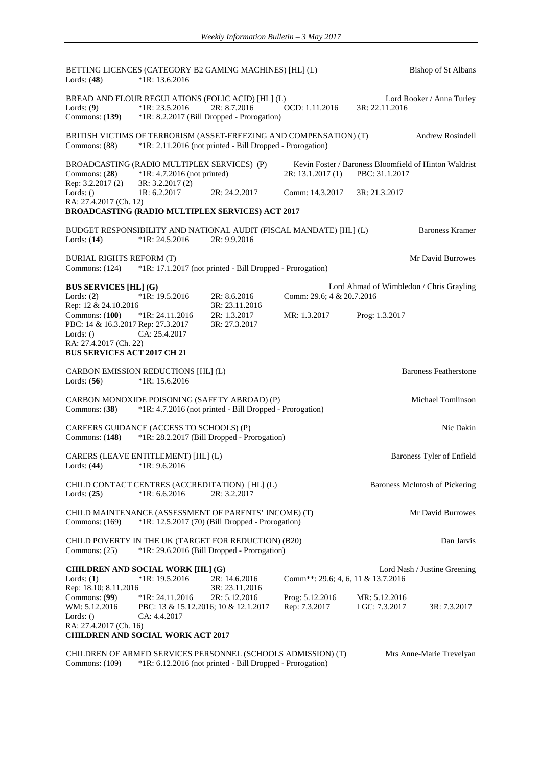BETTING LICENCES (CATEGORY B2 GAMING MACHINES) [HL] (L) Bishop of St Albans Lords: (**48**) \*1R: 13.6.2016 BREAD AND FLOUR REGULATIONS (FOLIC ACID) [HL] (L) Lord Rooker / Anna Turley<br>Lords: (9) \*1R: 23.5.2016 2R: 8.7.2016 0CD: 1.11.2016 3R: 22.11.2016 Lords: (**9**) \*1R: 23.5.2016 2R: 8.7.2016 OCD: 1.11.2016<br>Commons: (139) \*1R: 8.2.2017 (Bill Dropped - Prorogation) \*1R: 8.2.2017 (Bill Dropped - Prorogation) BRITISH VICTIMS OF TERRORISM (ASSET-FREEZING AND COMPENSATION) (T) Andrew Rosindell Commons: (88) \*1R: 2.11.2016 (not printed - Bill Dropped - Prorogation) BROADCASTING (RADIO MULTIPLEX SERVICES) (P) Kevin Foster / Baroness Bloomfield of Hinton Waldrist<br>Commons: (28) \*1R: 4.7.2016 (not printed) 2R: 13.1.2017 (1) PBC: 31.1.2017 Commons: (28) \*1R: 4.7.2016 (not printed) Rep: 3.2.2017 (2) 3R: 3.2.2017 (2)<br>Lords: () 1R: 6.2.2017 Lords: () 1R: 6.2.2017 2R: 24.2.2017 Comm: 14.3.2017 3R: 21.3.2017 RA: 27.4.2017 (Ch. 12) **BROADCASTING (RADIO MULTIPLEX SERVICES) ACT 2017** BUDGET RESPONSIBILITY AND NATIONAL AUDIT (FISCAL MANDATE) [HL] (L) Baroness Kramer Lords: (**14**) \*1R: 24.5.2016 2R: 9.9.2016 BURIAL RIGHTS REFORM (T) SURVEY AND REFORM (T) SURVEY AND REFORM (T) SURVEY ASSESSED. THE DAVid Burrowes Commons: (124) \*1R: 17.1.2017 (not printed - Bill Dropped - Prorogation) **BUS SERVICES [HL] (G)** Lord Ahmad of Wimbledon / Chris Grayling<br>Lords: (2) \*1R: 19.5.2016 2R: 8.6.2016 Comm: 29.6: 4 & 20.7.2016 Lords: (**2**) \*1R: 19.5.2016 2R: 8.6.2016 Comm: 29.6; 4 & 20.7.2016 Rep: 12 & 24.10.2016 3R: 23.11.2016 Commons: (**100**) \*1R: 24.11.2016 2R: 1.3.2017 MR: 1.3.2017 Prog: 1.3.2017 PBC: 14 & 16.3.2017 Rep: 27.3.2017 3R: 27.3.2017 Lords: () CA: 25.4.2017 RA: 27.4.2017 (Ch. 22) **BUS SERVICES ACT 2017 CH 21** CARBON EMISSION REDUCTIONS [HL] (L) Baroness Featherstone Lords: (**56**) \*1R: 15.6.2016 CARBON MONOXIDE POISONING (SAFETY ABROAD) (P) Michael Tomlinson Commons: (**38**) \*1R: 4.7.2016 (not printed - Bill Dropped - Prorogation) CAREERS GUIDANCE (ACCESS TO SCHOOLS) (P)<br>
Commons: (148) \*1R: 28.2.2017 (Bill Dropped - Prorogation) \*1R: 28.2.2017 (Bill Dropped - Prorogation) CARERS (LEAVE ENTITLEMENT) [HL] (L) Baroness Tyler of Enfield Lords: (**44**) \*1R: 9.6.2016 CHILD CONTACT CENTRES (ACCREDITATION) [HL] (L) Baroness McIntosh of Pickering<br>Lords: (25) \*1R: 6.6.2016 2R: 3.2.2017  $*1R: 6.6.2016$ CHILD MAINTENANCE (ASSESSMENT OF PARENTS' INCOME) (T) Mr David Burrowes Commons: (169) \*1R: 12.5.2017 (70) (Bill Dropped - Prorogation) CHILD POVERTY IN THE UK (TARGET FOR REDUCTION) (B20) Dan Jarvis Commons: (25) \*1R: 29.6.2016 (Bill Dropped - Prorogation) **CHILDREN AND SOCIAL WORK [HL] (G)** Lord Nash / Justine Greening Lords: (1) \*1R: 19.5.2016 2R: 14.6.2016 Comm<sup>\*\*</sup>: 29.6; 4, 6, 11 & 13.7.2016<br>Rep. 18.10: 8.11.2016 3R: 23.11.2016 Rep: 18.10; 8.11.2016 Commons: (**99**) \*1R: 24.11.2016 2R: 5.12.2016 Prog: 5.12.2016 MR: 5.12.2016 WM: 5.12.2016 PBC: 13 & 15.12.2016; 10 & 12.1.2017 Rep: 7.3.2017 LGC: 7.3.2017 3R: 7.3.2017 Lords: () CA: 4.4.2017 RA: 27.4.2017 (Ch. 16) **CHILDREN AND SOCIAL WORK ACT 2017** CHILDREN OF ARMED SERVICES PERSONNEL (SCHOOLS ADMISSION) (T) Mrs Anne-Marie Trevelyan

Commons: (109) \*1R: 6.12.2016 (not printed - Bill Dropped - Prorogation)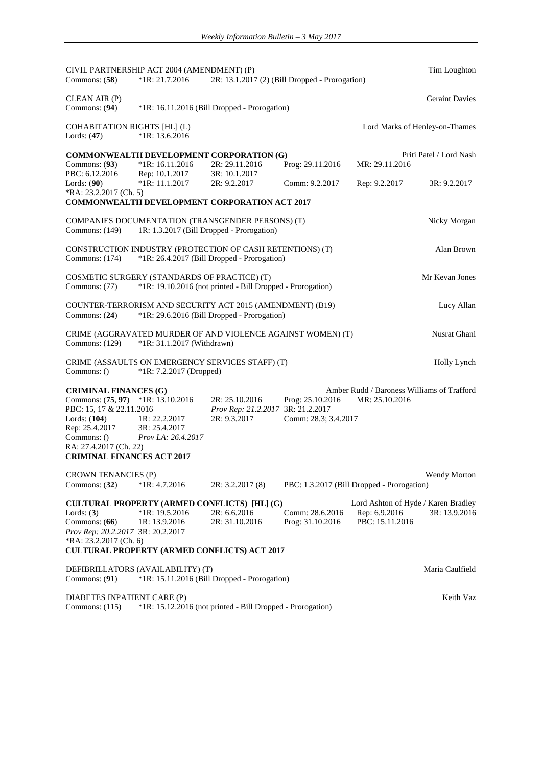| Commons: $(58)$                                         | CIVIL PARTNERSHIP ACT 2004 (AMENDMENT) (P)<br>$*1R: 21.7.2016$                                 | 2R: 13.1.2017 (2) (Bill Dropped - Prorogation)             |                      |                                            | Tim Loughton                   |
|---------------------------------------------------------|------------------------------------------------------------------------------------------------|------------------------------------------------------------|----------------------|--------------------------------------------|--------------------------------|
| CLEAN AIR (P)<br>Commons: $(94)$                        |                                                                                                | *1R: 16.11.2016 (Bill Dropped - Prorogation)               |                      |                                            | <b>Geraint Davies</b>          |
| <b>COHABITATION RIGHTS [HL] (L)</b><br>Lords: $(47)$    | $*1R: 13.6.2016$                                                                               |                                                            |                      |                                            | Lord Marks of Henley-on-Thames |
| Commons: $(93)$                                         | <b>COMMONWEALTH DEVELOPMENT CORPORATION (G)</b><br>$*1R: 16.11.2016$                           | 2R: 29.11.2016                                             | Prog: 29.11.2016     | MR: 29.11.2016                             | Priti Patel / Lord Nash        |
| PBC: 6.12.2016<br>Lords: (90)<br>*RA: 23.2.2017 (Ch. 5) | Rep: 10.1.2017<br>$*1R: 11.1.2017$                                                             | 3R: 10.1.2017<br>2R: 9.2.2017                              | Comm: 9.2.2017       | Rep: 9.2.2017                              | 3R: 9.2.2017                   |
|                                                         | <b>COMMONWEALTH DEVELOPMENT CORPORATION ACT 2017</b>                                           |                                                            |                      |                                            |                                |
| Commons: (149)                                          | COMPANIES DOCUMENTATION (TRANSGENDER PERSONS) (T)<br>1R: 1.3.2017 (Bill Dropped - Prorogation) |                                                            |                      |                                            | Nicky Morgan                   |
| Commons: $(174)$                                        | CONSTRUCTION INDUSTRY (PROTECTION OF CASH RETENTIONS) (T)                                      | *1R: 26.4.2017 (Bill Dropped - Prorogation)                |                      |                                            | Alan Brown                     |
| Commons: (77)                                           | COSMETIC SURGERY (STANDARDS OF PRACTICE) (T)                                                   | *1R: 19.10.2016 (not printed - Bill Dropped - Prorogation) |                      |                                            | Mr Kevan Jones                 |
| Commons: $(24)$                                         | COUNTER-TERRORISM AND SECURITY ACT 2015 (AMENDMENT) (B19)                                      | *1R: 29.6.2016 (Bill Dropped - Prorogation)                |                      |                                            | Lucy Allan                     |
| Commons: $(129)$                                        | CRIME (AGGRAVATED MURDER OF AND VIOLENCE AGAINST WOMEN) (T)<br>*1R: 31.1.2017 (Withdrawn)      |                                                            |                      |                                            | Nusrat Ghani                   |
| Commons: ()                                             | CRIME (ASSAULTS ON EMERGENCY SERVICES STAFF) (T)<br>*1R: 7.2.2017 (Dropped)                    |                                                            |                      |                                            | Holly Lynch                    |
| <b>CRIMINAL FINANCES (G)</b>                            |                                                                                                |                                                            |                      | Amber Rudd / Baroness Williams of Trafford |                                |
| Commons: (75, 97) *1R: 13.10.2016                       |                                                                                                | 2R: 25.10.2016                                             | Prog: 25.10.2016     | MR: 25.10.2016                             |                                |
| PBC: 15, 17 & 22.11.2016                                |                                                                                                | Prov Rep: 21.2.2017 3R: 21.2.2017                          |                      |                                            |                                |
| Lords: (104)                                            | 1R: 22.2.2017                                                                                  | 2R: 9.3.2017                                               | Comm: 28.3; 3.4.2017 |                                            |                                |
| Rep: 25.4.2017<br>Commons: ()                           | 3R: 25.4.2017<br>Prov LA: 26.4.2017                                                            |                                                            |                      |                                            |                                |
| RA: 27.4.2017 (Ch. 22)                                  |                                                                                                |                                                            |                      |                                            |                                |
| <b>CRIMINAL FINANCES ACT 2017</b>                       |                                                                                                |                                                            |                      |                                            |                                |
| CROWN TENANCIES (P)                                     |                                                                                                |                                                            |                      |                                            | <b>Wendy Morton</b>            |
| Commons: $(32)$                                         | $*1R: 4.7.2016$                                                                                | 2R: 3.2.2017(8)                                            |                      | PBC: 1.3.2017 (Bill Dropped - Prorogation) |                                |
|                                                         | CULTURAL PROPERTY (ARMED CONFLICTS) [HL] (G)                                                   |                                                            |                      | Lord Ashton of Hyde / Karen Bradley        |                                |
| Lords: $(3)$                                            | $*1R: 19.5.2016$                                                                               | 2R: 6.6.2016                                               | Comm: 28.6.2016      | Rep: 6.9.2016                              | 3R: 13.9.2016                  |
| Commons: (66)                                           | 1R: 13.9.2016                                                                                  | 2R: 31.10.2016                                             | Prog: 31.10.2016     | PBC: 15.11.2016                            |                                |
| Prov Rep: 20.2.2017 3R: 20.2.2017                       |                                                                                                |                                                            |                      |                                            |                                |
| *RA: 23.2.2017 (Ch. 6)                                  | <b>CULTURAL PROPERTY (ARMED CONFLICTS) ACT 2017</b>                                            |                                                            |                      |                                            |                                |
|                                                         |                                                                                                |                                                            |                      |                                            |                                |
| Commons: $(91)$                                         | DEFIBRILLATORS (AVAILABILITY) (T)                                                              | *1R: 15.11.2016 (Bill Dropped - Prorogation)               |                      |                                            | Maria Caulfield                |
|                                                         |                                                                                                |                                                            |                      |                                            |                                |
| DIABETES INPATIENT CARE (P)<br>Commons: $(115)$         |                                                                                                | *1R: 15.12.2016 (not printed - Bill Dropped - Prorogation) |                      |                                            | Keith Vaz                      |
|                                                         |                                                                                                |                                                            |                      |                                            |                                |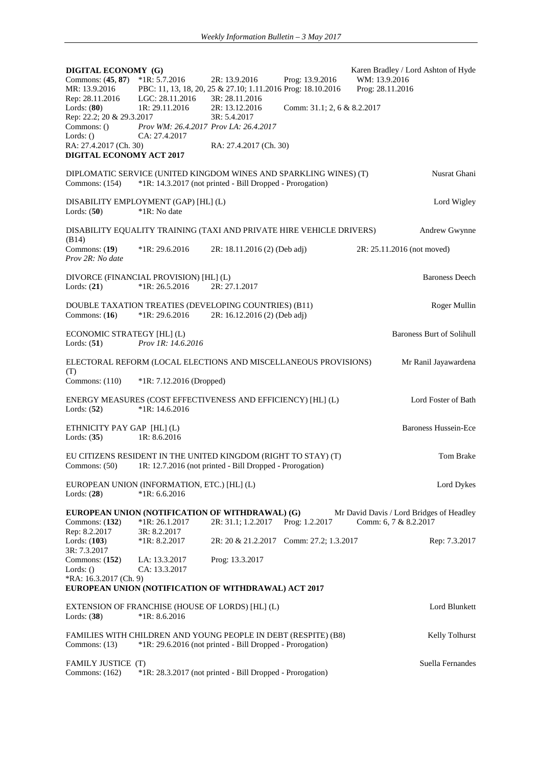| DIGITAL ECONOMY (G)<br>Commons: (45, 87) *1R: 5.7.2016<br>MR: 13.9.2016                                               |                                                                                             | 2R: 13.9.2016<br>PBC: 11, 13, 18, 20, 25 & 27.10; 1.11.2016 Prog: 18.10.2016                                                   | Prog: 13.9.2016             | WM: 13.9.2016<br>Prog: 28.11.2016 | Karen Bradley / Lord Ashton of Hyde      |
|-----------------------------------------------------------------------------------------------------------------------|---------------------------------------------------------------------------------------------|--------------------------------------------------------------------------------------------------------------------------------|-----------------------------|-----------------------------------|------------------------------------------|
| Rep: 28.11.2016<br>Lords: $(80)$<br>Rep: 22.2; 20 & 29.3.2017<br>Commons: ()<br>Lords: $()$<br>RA: 27.4.2017 (Ch. 30) | LGC: 28.11.2016<br>1R: 29.11.2016<br>Prov WM: 26.4.2017 Prov LA: 26.4.2017<br>CA: 27.4.2017 | 3R: 28.11.2016<br>2R: 13.12.2016<br>3R: 5.4.2017<br>RA: 27.4.2017 (Ch. 30)                                                     | Comm: 31.1; 2, 6 & 8.2.2017 |                                   |                                          |
| DIGITAL ECONOMY ACT 2017                                                                                              |                                                                                             |                                                                                                                                |                             |                                   |                                          |
| Commons: $(154)$                                                                                                      |                                                                                             | DIPLOMATIC SERVICE (UNITED KINGDOM WINES AND SPARKLING WINES) (T)<br>*1R: 14.3.2017 (not printed - Bill Dropped - Prorogation) |                             |                                   | Nusrat Ghani                             |
| Lords: $(50)$                                                                                                         | DISABILITY EMPLOYMENT (GAP) [HL] (L)<br>*1R: No date                                        |                                                                                                                                |                             |                                   | Lord Wigley                              |
| (B14)                                                                                                                 |                                                                                             | DISABILITY EQUALITY TRAINING (TAXI AND PRIVATE HIRE VEHICLE DRIVERS)                                                           |                             |                                   | Andrew Gwynne                            |
| Commons: (19)<br>Prov 2R: No date                                                                                     | $*1R: 29.6.2016$                                                                            | 2R: 18.11.2016 (2) (Deb adj)                                                                                                   |                             | 2R: 25.11.2016 (not moved)        |                                          |
| Lords: $(21)$                                                                                                         | DIVORCE (FINANCIAL PROVISION) [HL] (L)<br>$*1R: 26.5.2016$                                  | 2R: 27.1.2017                                                                                                                  |                             |                                   | <b>Baroness Deech</b>                    |
| Commons: $(16)$                                                                                                       | $*1R: 29.6.2016$                                                                            | DOUBLE TAXATION TREATIES (DEVELOPING COUNTRIES) (B11)<br>2R: 16.12.2016 (2) (Deb adj)                                          |                             |                                   | Roger Mullin                             |
| ECONOMIC STRATEGY [HL] (L)<br>Lords: $(51)$                                                                           | <i>Prov 1R: 14.6.2016</i>                                                                   |                                                                                                                                |                             |                                   | <b>Baroness Burt of Solihull</b>         |
| (T)                                                                                                                   |                                                                                             | ELECTORAL REFORM (LOCAL ELECTIONS AND MISCELLANEOUS PROVISIONS)                                                                |                             |                                   | Mr Ranil Jayawardena                     |
| Commons: (110)                                                                                                        | *1R: 7.12.2016 (Dropped)                                                                    |                                                                                                                                |                             |                                   |                                          |
| Lords: $(52)$                                                                                                         | $*1R: 14.6.2016$                                                                            | ENERGY MEASURES (COST EFFECTIVENESS AND EFFICIENCY) [HL] (L)                                                                   |                             |                                   | Lord Foster of Bath                      |
| ETHNICITY PAY GAP [HL] (L)<br>Lords: $(35)$                                                                           | 1R: 8.6.2016                                                                                |                                                                                                                                |                             |                                   | <b>Baroness Hussein-Ece</b>              |
| Commons: $(50)$                                                                                                       |                                                                                             | EU CITIZENS RESIDENT IN THE UNITED KINGDOM (RIGHT TO STAY) (T)<br>1R: 12.7.2016 (not printed - Bill Dropped - Prorogation)     |                             |                                   | Tom Brake                                |
| Lords: $(28)$                                                                                                         | EUROPEAN UNION (INFORMATION, ETC.) [HL] (L)<br>$*1R: 6.6.2016$                              |                                                                                                                                |                             |                                   | Lord Dykes                               |
| Commons: $(132)$                                                                                                      | $*1R: 26.1.2017$                                                                            | EUROPEAN UNION (NOTIFICATION OF WITHDRAWAL) (G)<br>2R: 31.1; 1.2.2017                                                          | Prog: 1.2.2017              | Comm: 6, 7 & 8.2.2017             | Mr David Davis / Lord Bridges of Headley |
| Rep: 8.2.2017<br>Lords: (103)<br>3R: 7.3.2017                                                                         | 3R: 8.2.2017<br>$*1R: 8.2.2017$                                                             | 2R: 20 & 21.2.2017                                                                                                             | Comm: 27.2; 1.3.2017        |                                   | Rep: 7.3.2017                            |
| Commons: $(152)$<br>Lords: $()$<br>*RA: 16.3.2017 (Ch. 9)                                                             | LA: 13.3.2017<br>CA: 13.3.2017                                                              | Prog: 13.3.2017                                                                                                                |                             |                                   |                                          |
|                                                                                                                       |                                                                                             | EUROPEAN UNION (NOTIFICATION OF WITHDRAWAL) ACT 2017                                                                           |                             |                                   |                                          |
| Lords: $(38)$                                                                                                         | EXTENSION OF FRANCHISE (HOUSE OF LORDS) [HL] (L)<br>$*1R: 8.6.2016$                         |                                                                                                                                |                             |                                   | Lord Blunkett                            |
| Commons: $(13)$                                                                                                       |                                                                                             | FAMILIES WITH CHILDREN AND YOUNG PEOPLE IN DEBT (RESPITE) (B8)<br>*1R: 29.6.2016 (not printed - Bill Dropped - Prorogation)    |                             |                                   | Kelly Tolhurst                           |
| <b>FAMILY JUSTICE (T)</b><br>Commons: $(162)$                                                                         |                                                                                             | *1R: 28.3.2017 (not printed - Bill Dropped - Prorogation)                                                                      |                             |                                   | Suella Fernandes                         |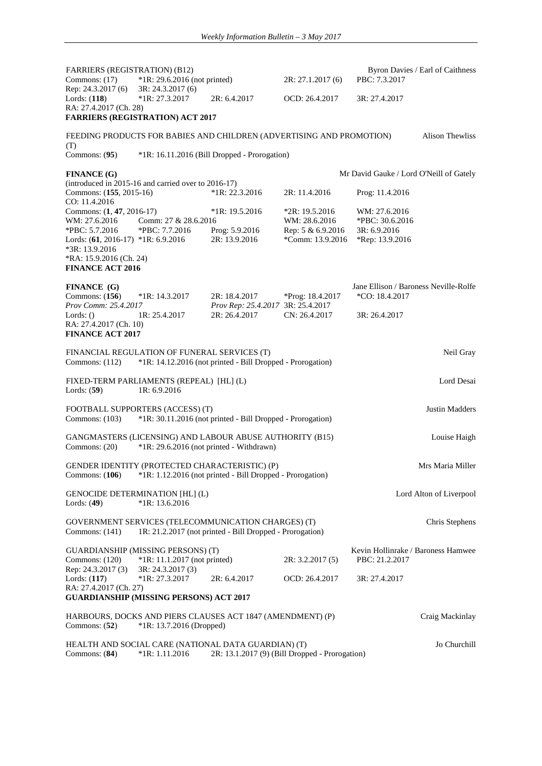| <b>FARRIERS (REGISTRATION) (B12)</b><br>Commons: $(17)$                                                                                                                    | *1R: 29.6.2016 (not printed)                                                                         |                                                            | 2R: 27.1.2017 (6)                                                          | Byron Davies / Earl of Caithness<br>PBC: 7.3.2017                   |                |
|----------------------------------------------------------------------------------------------------------------------------------------------------------------------------|------------------------------------------------------------------------------------------------------|------------------------------------------------------------|----------------------------------------------------------------------------|---------------------------------------------------------------------|----------------|
| Rep: 24.3.2017 (6)<br>Lords: $(118)$<br>RA: 27.4.2017 (Ch. 28)                                                                                                             | 3R: 24.3.2017 (6)<br>$*1R: 27.3.2017$<br><b>FARRIERS (REGISTRATION) ACT 2017</b>                     | 2R: 6.4.2017                                               | OCD: 26.4.2017                                                             | 3R: 27.4.2017                                                       |                |
|                                                                                                                                                                            | FEEDING PRODUCTS FOR BABIES AND CHILDREN (ADVERTISING AND PROMOTION)                                 |                                                            |                                                                            | <b>Alison Thewliss</b>                                              |                |
| (T)<br>Commons: $(95)$                                                                                                                                                     |                                                                                                      | *1R: 16.11.2016 (Bill Dropped - Prorogation)               |                                                                            |                                                                     |                |
| <b>FINANCE</b> (G)                                                                                                                                                         |                                                                                                      |                                                            |                                                                            | Mr David Gauke / Lord O'Neill of Gately                             |                |
| Commons: (155, 2015-16)<br>CO: 11.4.2016                                                                                                                                   | (introduced in 2015-16 and carried over to 2016-17)                                                  | $*1R: 22.3.2016$                                           | 2R: 11.4.2016                                                              | Prog: 11.4.2016                                                     |                |
| Commons: (1, 47, 2016-17)<br>WM: 27.6.2016<br>*PBC: 5.7.2016<br>Lords: (61, 2016-17) *1R: 6.9.2016<br>*3R: 13.9.2016<br>*RA: 15.9.2016 (Ch. 24)<br><b>FINANCE ACT 2016</b> | Comm: 27 & 28.6.2016<br>*PBC: 7.7.2016                                                               | $*1R: 19.5.2016$<br>Prog: 5.9.2016<br>2R: 13.9.2016        | $*2R: 19.5.2016$<br>WM: 28.6.2016<br>Rep: 5 & 6.9.2016<br>*Comm: 13.9.2016 | WM: 27.6.2016<br>*PBC: 30.6.2016<br>3R: 6.9.2016<br>*Rep: 13.9.2016 |                |
| <b>FINANCE</b> (G)<br>Commons: $(156)$<br>Prov Comm: 25.4.2017                                                                                                             | $*1R: 14.3.2017$                                                                                     | 2R: 18.4.2017<br>Prov Rep: 25.4.2017 3R: 25.4.2017         | *Prog: 18.4.2017                                                           | Jane Ellison / Baroness Neville-Rolfe<br>*CO: 18.4.2017             |                |
| Lords: $()$<br>RA: 27.4.2017 (Ch. 10)<br><b>FINANCE ACT 2017</b>                                                                                                           | 1R: 25.4.2017                                                                                        | 2R: 26.4.2017                                              | CN: 26.4.2017                                                              | 3R: 26.4.2017                                                       |                |
| Commons: $(112)$                                                                                                                                                           | FINANCIAL REGULATION OF FUNERAL SERVICES (T)                                                         | *1R: 14.12.2016 (not printed - Bill Dropped - Prorogation) |                                                                            |                                                                     | Neil Gray      |
| Lords: $(59)$                                                                                                                                                              | FIXED-TERM PARLIAMENTS (REPEAL) [HL] (L)<br>1R: 6.9.2016                                             |                                                            |                                                                            |                                                                     | Lord Desai     |
| Commons: $(103)$                                                                                                                                                           | FOOTBALL SUPPORTERS (ACCESS) (T)                                                                     | *1R: 30.11.2016 (not printed - Bill Dropped - Prorogation) |                                                                            |                                                                     | Justin Madders |
| Commons: (20)                                                                                                                                                              | GANGMASTERS (LICENSING) AND LABOUR ABUSE AUTHORITY (B15)<br>*1R: 29.6.2016 (not printed - Withdrawn) |                                                            |                                                                            |                                                                     | Louise Haigh   |
| Commons: $(106)$                                                                                                                                                           | GENDER IDENTITY (PROTECTED CHARACTERISTIC) (P)                                                       | *1R: 1.12.2016 (not printed - Bill Dropped - Prorogation)  |                                                                            | Mrs Maria Miller                                                    |                |
| Lords: $(49)$                                                                                                                                                              | <b>GENOCIDE DETERMINATION [HL] (L)</b><br>*1R: 13.6.2016                                             |                                                            |                                                                            | Lord Alton of Liverpool                                             |                |
| Commons: (141)                                                                                                                                                             | GOVERNMENT SERVICES (TELECOMMUNICATION CHARGES) (T)                                                  | 1R: 21.2.2017 (not printed - Bill Dropped - Prorogation)   |                                                                            |                                                                     | Chris Stephens |
| Commons: (120)                                                                                                                                                             | <b>GUARDIANSHIP (MISSING PERSONS) (T)</b><br>*1R: 11.1.2017 (not printed)                            |                                                            | 2R: 3.2.2017(5)                                                            | Kevin Hollinrake / Baroness Hamwee<br>PBC: 21.2.2017                |                |
| Rep: 24.3.2017 (3)<br>Lords: $(117)$<br>RA: 27.4.2017 (Ch. 27)                                                                                                             | 3R: 24.3.2017 (3)<br>*1R: 27.3.2017<br><b>GUARDIANSHIP (MISSING PERSONS) ACT 2017</b>                | 2R: 6.4.2017                                               | OCD: 26.4.2017                                                             | 3R: 27.4.2017                                                       |                |
| Commons: $(52)$                                                                                                                                                            | HARBOURS, DOCKS AND PIERS CLAUSES ACT 1847 (AMENDMENT) (P)<br>*1R: 13.7.2016 (Dropped)               |                                                            |                                                                            | Craig Mackinlay                                                     |                |
| Commons: $(84)$                                                                                                                                                            | HEALTH AND SOCIAL CARE (NATIONAL DATA GUARDIAN) (T)<br>$*1R: 1.11.2016$                              | 2R: 13.1.2017 (9) (Bill Dropped - Prorogation)             |                                                                            |                                                                     | Jo Churchill   |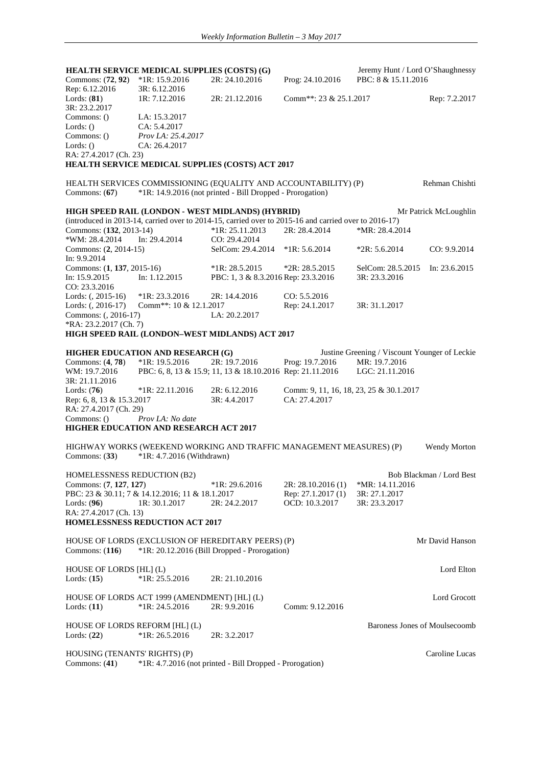**HEALTH SERVICE MEDICAL SUPPLIES (COSTS) (G)** Jeremy Hunt / Lord O'Shaughnessy<br>Commons: (72, 92) \*1R: 15.9.2016 2R: 24.10.2016 Prog: 24.10.2016 PBC: 8 & 15.11.2016 Commons: (**72.92**) \*1R: 15.9.2016 Rep: 6.12.2016<br>
Lords: (81) 1R: 7.12.2016 2R: 21.12.2016 Comm<sup>\*\*</sup>: 23 & 25.1.2017 Rep: 7.2.2017 3R: 23.2.2017<br>Commons: 0 LA: 15.3.2017 Lords: () CA: 5.4.2017<br>Commons: () Prov LA: 25.4 Commons: () *Prov LA: 25.4.2017* Lords: () CA: 26.4.2017 RA: 27.4.2017 (Ch. 23) **HEALTH SERVICE MEDICAL SUPPLIES (COSTS) ACT 2017** HEALTH SERVICES COMMISSIONING (EQUALITY AND ACCOUNTABILITY) (P) Rehman Chishti Commons: (**67**) \*1R: 14.9.2016 (not printed - Bill Dropped - Prorogation) **HIGH SPEED RAIL (LONDON - WEST MIDLANDS) (HYBRID)** Mr Patrick McLoughlin (introduced in 2013-14, carried over to 2014-15, carried over to 2015-16 and carried over to 2016-17) Commons: (**132**, 2013-14) \*1R: 25.11.2013 2R: 28.4.2014 \*MR: 28.4.2014 \*WM: 28.4.2014 In: 29.4.2014 CO: 29.4.2014<br>Commons: (2, 2014-15) SelCom: 29.4.2 SelCom: 29.4.2014 \*1R: 5.6.2014 \*2R: 5.6.2014 CO: 9.9.2014 In: 9.9.2014 Commons: (**1**, **137**, 2015-16) \*1R: 28.5.2015 \*2R: 28.5.2015 SelCom: 28.5.2015 In: 23.6.2015 In: 15.9.2015 In: 1.12.2015 PBC: 1, 3 & 8.3.2016 Rep: 23.3.2016 3R: 23.3.2016 CO: 23.3.2016 Lords: (, 2015-16) \*1R: 23.3.2016 2R: 14.4.2016 CO: 5.5.2016<br>
Lords: (, 2016-17) Comm\*\*: 10 & 12.1.2017 Rep: 24.1.201 Comm<sup>\*\*</sup>: 10 & 12.1.2017 Rep: 24.1.2017 3R: 31.1.2017 Commons: (, 2016-17) LA: 20.2.2017 \*RA: 23.2.2017 (Ch. 7) **HIGH SPEED RAIL (LONDON–WEST MIDLANDS) ACT 2017 HIGHER EDUCATION AND RESEARCH (G)** Justine Greening / Viscount Younger of Leckie<br>Commons: (4, 78) \*1R: 19.5.2016 2R: 19.7.2016 Prog: 19.7.2016 MR: 19.7.2016 Prog: 19.7.2016 WM: 19.7.2016 PBC: 6, 8, 13 & 15.9; 11, 13 & 18.10.2016 Rep: 21.11.2016 LGC: 21.11.2016 3R: 21.11.2016 Lords: (**76**) \*1R: 22.11.2016 2R: 6.12.2016 Comm: 9, 11, 16, 18, 23, 25 & 30.1.2017 Rep: 6, 8, 13 & 15.3.2017 3R: 4.4.2017 CA: 27.4.2017 RA: 27.4.2017 (Ch. 29) Commons: () *Prov LA: No date* **HIGHER EDUCATION AND RESEARCH ACT 2017**  HIGHWAY WORKS (WEEKEND WORKING AND TRAFFIC MANAGEMENT MEASURES) (P) Wendy Morton Commons: (**33**) \*1R: 4.7.2016 (Withdrawn) HOMELESSNESS REDUCTION (B2)<br>
FIR: 29.6.2016 2R: 28.10.2016 (1) \*MR: 14.11.2016<br>
Francours: (7.127.127) Commons: (**7, 127, 127**) \*1R: 29.6.2016 2R: 28.10.2016 (1) \*MR: 14.11.20<br>PBC: 23 & 30.11; 7 & 14.12.2016; 11 & 18.1.2017 Rep: 27.1.2017 (1) 3R: 27.1.2017 PBC: 23 & 30.11; 7 & 14.12.2016; 11 & 18.1.2017 Lords: (**96**) 1R: 30.1.2017 2R: 24.2.2017 OCD: 10.3.2017 3R: 23.3.2017 RA: 27.4.2017 (Ch. 13) **HOMELESSNESS REDUCTION ACT 2017** HOUSE OF LORDS (EXCLUSION OF HEREDITARY PEERS) (P) Mr David Hanson Commons: (**116**) \*1R: 20.12.2016 (Bill Dropped - Prorogation) HOUSE OF LORDS [HL] (L) Lord Elton Lords: (**15**) \*1R: 25.5.2016 2R: 21.10.2016 HOUSE OF LORDS ACT 1999 (AMENDMENT) [HL] (L) Lord Grocott Lords: (**11**) \*1R: 24.5.2016 2R: 9.9.2016 Comm: 9.12.2016 HOUSE OF LORDS REFORM [HL] (L) Baroness Jones of Moulsecoomb Lords: (**22**) \*1R: 26.5.2016 2R: 3.2.2017 HOUSING (TENANTS' RIGHTS) (P) Caroline Lucas Commons: (**41**) \*1R: 4.7.2016 (not printed - Bill Dropped - Prorogation)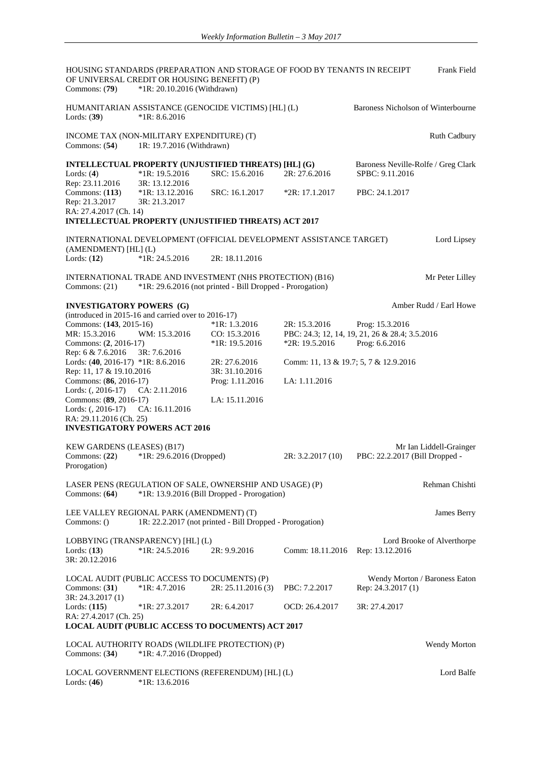HOUSING STANDARDS (PREPARATION AND STORAGE OF FOOD BY TENANTS IN RECEIPT OF UNIVERSAL CREDIT OR HOUSING BENEFIT) (P) Frank Field Commons: (**79**) \*1R: 20.10.2016 (Withdrawn) HUMANITARIAN ASSISTANCE (GENOCIDE VICTIMS) [HL] (L) Baroness Nicholson of Winterbourne Lords: (**39**) \*1R: 8.6.2016 INCOME TAX (NON-MILITARY EXPENDITURE) (T) Ruth Cadbury Commons: (54) Ruth Cadbury Commons: (54) Ruth Cadbury Ruth Cadbury Ruth Cadbury Ruth Cadbury Ruth Cadbury Ruth Cadbury Ruth Cadbury Ruth Cadbury Ruth Cadbury Ruth Cadb 1R: 19.7.2016 (Withdrawn) **INTELLECTUAL PROPERTY (UNJUSTIFIED THREATS) [HL] (G)** Baroness Neville-Rolfe / Greg Clark Lords: (4) \*1R: 19.5.2016 SRC: 15.6.2016 2R: 27.6.2016 SPBC: 9.11.2016 SRC: 15.6.2016 Rep: 23.11.2016 3R: 13.12.2016<br>Commons: (113) \*1R: 13.12.2016 Commons: (**113**) \*1R: 13.12.2016 SRC: 16.1.2017 \*2R: 17.1.2017 PBC: 24.1.2017 Rep: 21.3.2017 3R: 21.3.2017 RA: 27.4.2017 (Ch. 14) **INTELLECTUAL PROPERTY (UNJUSTIFIED THREATS) ACT 2017** INTERNATIONAL DEVELOPMENT (OFFICIAL DEVELOPMENT ASSISTANCE TARGET)  $(AMENDMENT) [HL] (L)$ <br>Lords:  $(12)$  \*1R: Lord Lipsey Lords: (**12**) \*1R: 24.5.2016 2R: 18.11.2016 INTERNATIONAL TRADE AND INVESTMENT (NHS PROTECTION) (B16) Mr Peter Lilley<br>
Commons: (21) \*1R: 29.6.2016 (not printed - Bill Dropped - Prorogation)  $*1R: 29.6.2016$  (not printed - Bill Dropped - Prorogation) **INVESTIGATORY POWERS** (G) **Amber Rudd / Earl Howe** Amber Rudd / Earl Howe (introduced in 2015-16 and carried over to 2016-17) Commons: (**143**, 2015-16) \*1R: 1.3.2016 2R: 15.3.2016 Prog: 15.3.2016<br>MR: 15.3.2016 **2015** CO: 15.3.2016 PBC: 24.3; 12, 14, 19, 21, 26 & 28.4; 3 CO: 15.3.2016 PBC: 24.3; 12, 14, 19, 21, 26 & 28.4; 3.5.2016<br>
\*1R: 19.5.2016 Prog: 6.6.2016 Commons:  $(2, 2016 - 17)$ Rep: 6 & 7.6.2016 3R: 7.6.2016 Lords: (**40**, 2016-17) \*1R: 8.6.2016 2R: 27.6.2016 Comm: 11, 13 & 19.7; 5, 7 & 12.9.2016 Rep: 11, 17 & 19.10.2016 3R: 31.10.2016 Commons: (**86**, 2016-17) Prog: 1.11.2016 LA: 1.11.2016 Lords: (, 2016-17) CA: 2.11.2016 Commons: (**89**, 2016-17) LA: 15.11.2016 Lords: (, 2016-17) CA: 16.11.2016 RA: 29.11.2016 (Ch. 25) **INVESTIGATORY POWERS ACT 2016** KEW GARDENS (LEASES) (B17) Mr Ian Liddell-Grainger Commons: (**22**) \*1R: 29.6.2016 (Dropped) 2R: 3.2.2017 (10) PBC: 22.2.2017 (Bill Dropped - Prorogation) LASER PENS (REGULATION OF SALE, OWNERSHIP AND USAGE) (P) Rehman Chishti Commons: (64) \*1R: 13.9.2016 (Bill Dropped - Prorogation) \*1R: 13.9.2016 (Bill Dropped - Prorogation) LEE VALLEY REGIONAL PARK (AMENDMENT) (T) James Berry Commons: () 1R: 22.2.2017 (not printed - Bill Dropped - Prorogation) LOBBYING (TRANSPARENCY) [HL] (L) Lord Brooke of Alverthorpe Lords: (**13**) \*1R: 24.5.2016 2R: 9.9.2016 Comm: 18.11.2016 Rep: 13.12.2016 3R: 20.12.2016 LOCAL AUDIT (PUBLIC ACCESS TO DOCUMENTS) (P) Wendy Morton / Baroness Eaton<br>
Commons: (31) \*1R: 4.7.2016 2R: 25.11.2016 (3) PBC: 7.2.2017 Rep: 24.3.2017 (1) Rep: 24.3.2017 (1) 3R: 24.3.2017 (1) Lords: (**115**) \*1R: 27.3.2017 2R: 6.4.2017 OCD: 26.4.2017 3R: 27.4.2017 RA: 27.4.2017 (Ch. 25) **LOCAL AUDIT (PUBLIC ACCESS TO DOCUMENTS) ACT 2017**  LOCAL AUTHORITY ROADS (WILDLIFE PROTECTION) (P) Wendy Morton Commons: (**34**) \*1R: 4.7.2016 (Dropped) LOCAL GOVERNMENT ELECTIONS (REFERENDUM) [HL] (L) Lord Balfe<br>
Lords: (46) \*1R: 13.6.2016 Lords: (**46**) \*1R: 13.6.2016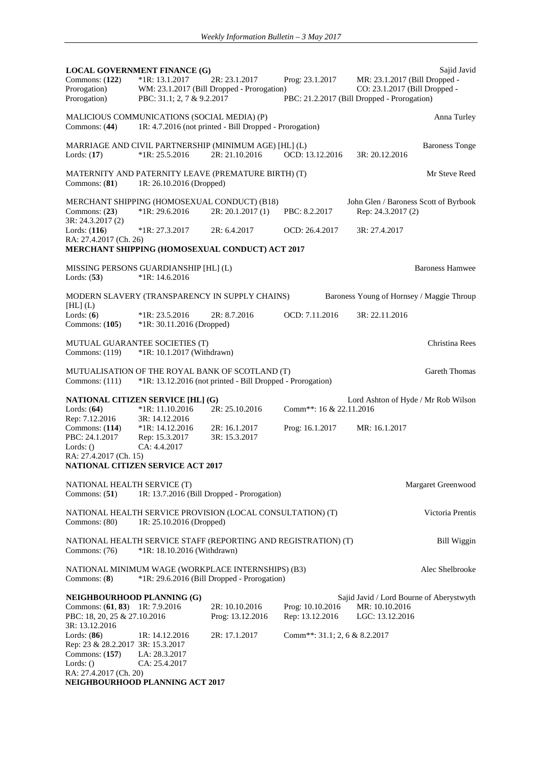**LOCAL GOVERNMENT FINANCE (G)** Sajid Javid<br>
Commons: (122) \*1R: 13.1.2017 2R: 23.1.2017 Prog: 23.1.2017 MR: 23.1.2017 (Bill Dropped -Prog: 23.1.2017 **MR: 23.1.2017 (Bill Dropped - CO: 23.1.2017 (Bill Dropped -**Prorogation) WM: 23.1.2017 (Bill Dropped - Prorogation) Prorogation<br>PBC: 31.1; 2, 7 & 9.2.2017 F PBC: 21.2.2017 (Bill Dropped - Prorogation) MALICIOUS COMMUNICATIONS (SOCIAL MEDIA) (P) Anna Turley Commons: (**44**) 1R: 4.7.2016 (not printed - Bill Dropped - Prorogation) MARRIAGE AND CIVIL PARTNERSHIP (MINIMUM AGE) [HL] (L) Baroness Tonge<br>
Lords: (17) \*1R: 25.5.2016 2R: 21.10.2016 OCD: 13.12.2016 3R: 20.12.2016 Lords: (17) \*1R: 25.5.2016 2R: 21.10.2016 OCD: 13.12.2016 MATERNITY AND PATERNITY LEAVE (PREMATURE BIRTH) (T) Mr Steve Reed Commons: (**81**) 1R: 26.10.2016 (Dropped) MERCHANT SHIPPING (HOMOSEXUAL CONDUCT) (B18) John Glen / Baroness Scott of Byrbook Commons: (**23**) \*1R: 29.6.2016 2R: 20.1.2017 (1) PBC: 8.2.2017 Rep: 24.3.2017 (2) 3R: 24.3.2017 (2) Lords: (**116**) \*1R: 27.3.2017 2R: 6.4.2017 OCD: 26.4.2017 3R: 27.4.2017 RA: 27.4.2017 (Ch. 26) **MERCHANT SHIPPING (HOMOSEXUAL CONDUCT) ACT 2017** MISSING PERSONS GUARDIANSHIP [HL] (L) Baroness Hamwee Lords: (**53**) \*1R: 14.6.2016 MODERN SLAVERY (TRANSPARENCY IN SUPPLY CHAINS)  $[HL]$  $(L)$ Baroness Young of Hornsey / Maggie Throup Lords: (**6**) \*1R: 23.5.2016 2R: 8.7.2016 OCD: 7.11.2016 3R: 22.11.2016 Commons: (**105**) \*1R: 30.11.2016 (Dropped) MUTUAL GUARANTEE SOCIETIES (T) Christina Rees<br>
Commons: (119) \*1R: 10.1.2017 (Withdrawn)  $*1R: 10.1.2017$  (Withdrawn) MUTUALISATION OF THE ROYAL BANK OF SCOTLAND (T) Gareth Thomas Commons: (111) \*1R: 13.12.2016 (not printed - Bill Dropped - Prorogation) **NATIONAL CITIZEN SERVICE [HL] (G)** Lord Ashton of Hyde / Mr Rob Wilson Lords: (64) \*1R: 11.10.2016 2R: 25.10.2016 Comm<sup>\*\*</sup>: 16 & 22.11.2016 Lords: (**64**) \*1R: 11.10.2016 2R: 25.10.2016 Comm\*\*: 16 & 22.11.2016 Rep: 7.12.2016 3R: 14.12.2016 Commons: (**114**) \*1R: 14.12.2016 2R: 16.1.2017 Prog: 16.1.2017 MR: 16.1.2017 PBC: 24.1.2017 Rep: 15.3.2017 3R: 15.3.2017 Rep: 15.3.2017 Lords: () CA: 4.4.2017 RA: 27.4.2017 (Ch. 15) **NATIONAL CITIZEN SERVICE ACT 2017** NATIONAL HEALTH SERVICE (T)<br>
Commons: (51) 1R: 13.7.2016 (Bill Dropped - Prorogation) 1R: 13.7.2016 (Bill Dropped - Prorogation) NATIONAL HEALTH SERVICE PROVISION (LOCAL CONSULTATION) (T) Victoria Prentis Commons: (80) 1R: 25.10.2016 (Dropped) NATIONAL HEALTH SERVICE STAFF (REPORTING AND REGISTRATION) (T) Bill Wiggin Commons: (76) \*1R: 18.10.2016 (Withdrawn) NATIONAL MINIMUM WAGE (WORKPLACE INTERNSHIPS) (B3) Alec Shelbrooke Commons: (**8**) \*1R: 29.6.2016 (Bill Dropped - Prorogation) **NEIGHBOURHOOD PLANNING (G)** Sajid Javid / Lord Bourne of Aberystwyth Commons: (**61**, **83**) 1R: 7.9.2016 2R: 10.10.2016 Prog: 10.10.2016 MR: 10.10.2016 PBC: 18, 20, 25 & 27.10.2016 Prog: 13.12.2016 Rep: 13.12.2016 LGC: 13.12.2016 3R: 13.12.2016 Lords: (**86**) 1R: 14.12.2016 2R: 17.1.2017 Comm\*\*: 31.1; 2, 6 & 8.2.2017 Rep: 23 & 28.2.2017 3R: 15.3.2017 Commons: (**157**) LA: 28.3.2017 Lords: () CA: 25.4.2017 RA: 27.4.2017 (Ch. 20) **NEIGHBOURHOOD PLANNING ACT 2017**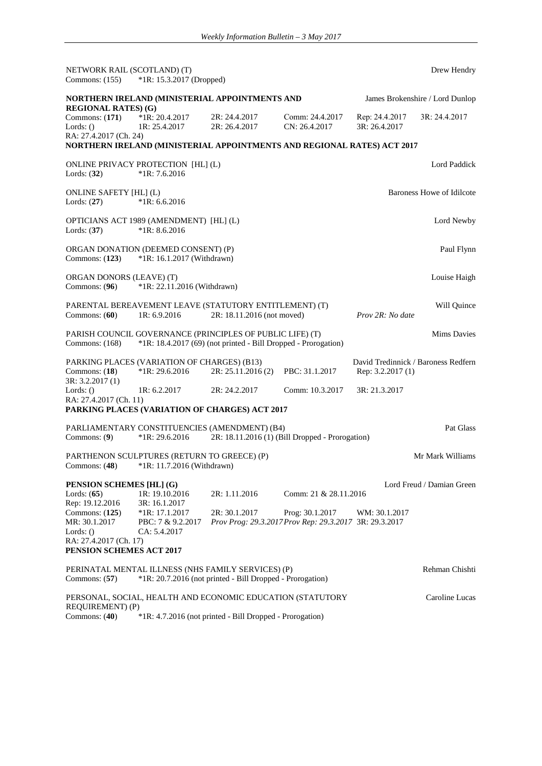| NETWORK RAIL (SCOTLAND) (T)<br>Commons: $(155)$                                          | *1R: 15.3.2017 (Dropped)                                                  |                                                                |                                                                           |                                                          | Drew Hendry                     |
|------------------------------------------------------------------------------------------|---------------------------------------------------------------------------|----------------------------------------------------------------|---------------------------------------------------------------------------|----------------------------------------------------------|---------------------------------|
|                                                                                          | NORTHERN IRELAND (MINISTERIAL APPOINTMENTS AND                            |                                                                |                                                                           |                                                          | James Brokenshire / Lord Dunlop |
| <b>REGIONAL RATES</b> ) (G)<br>Commons: $(171)$<br>Lords: $()$<br>RA: 27.4.2017 (Ch. 24) | $*1R: 20.4.2017$<br>1R: 25.4.2017                                         | 2R: 24.4.2017<br>2R: 26.4.2017                                 | Comm: 24.4.2017<br>CN: 26.4.2017                                          | Rep: 24.4.2017<br>3R: 26.4.2017                          | 3R: 24.4.2017                   |
|                                                                                          | NORTHERN IRELAND (MINISTERIAL APPOINTMENTS AND REGIONAL RATES) ACT 2017   |                                                                |                                                                           |                                                          |                                 |
| Lords: $(32)$                                                                            | ONLINE PRIVACY PROTECTION [HL] (L)<br>$*1R: 7.6.2016$                     |                                                                |                                                                           |                                                          | Lord Paddick                    |
| ONLINE SAFETY [HL] (L)<br>Lords: $(27)$                                                  | $*1R: 6.6.2016$                                                           |                                                                |                                                                           |                                                          | Baroness Howe of Idilcote       |
| Lords: $(37)$                                                                            | OPTICIANS ACT 1989 (AMENDMENT) [HL] (L)<br>$*1R: 8.6.2016$                |                                                                |                                                                           |                                                          | Lord Newby                      |
| Commons: $(123)$                                                                         | ORGAN DONATION (DEEMED CONSENT) (P)<br>*1R: 16.1.2017 (Withdrawn)         |                                                                |                                                                           |                                                          | Paul Flynn                      |
| ORGAN DONORS (LEAVE) (T)<br>Commons: (96)                                                | *1R: 22.11.2016 (Withdrawn)                                               |                                                                |                                                                           |                                                          | Louise Haigh                    |
| Commons: (60)                                                                            | PARENTAL BEREAVEMENT LEAVE (STATUTORY ENTITLEMENT) (T)<br>1R: 6.9.2016    | 2R: 18.11.2016 (not moved)                                     |                                                                           | Prov 2R: No date                                         | Will Ouince                     |
| Commons: (168)                                                                           | PARISH COUNCIL GOVERNANCE (PRINCIPLES OF PUBLIC LIFE) (T)                 | *1R: 18.4.2017 (69) (not printed - Bill Dropped - Prorogation) |                                                                           |                                                          | <b>Mims Davies</b>              |
| Commons: $(18)$<br>3R: 3.2.2017 (1)                                                      | PARKING PLACES (VARIATION OF CHARGES) (B13)<br>*1R: 29.6.2016             | 2R: 25.11.2016 (2)                                             | PBC: 31.1.2017                                                            | David Tredinnick / Baroness Redfern<br>Rep: 3.2.2017 (1) |                                 |
| Lords: $()$                                                                              | 1R: 6.2.2017                                                              | 2R: 24.2.2017                                                  | Comm: 10.3.2017                                                           | 3R: 21.3.2017                                            |                                 |
| RA: 27.4.2017 (Ch. 11)                                                                   |                                                                           |                                                                |                                                                           |                                                          |                                 |
|                                                                                          | PARKING PLACES (VARIATION OF CHARGES) ACT 2017                            |                                                                |                                                                           |                                                          |                                 |
| Commons: (9)                                                                             | PARLIAMENTARY CONSTITUENCIES (AMENDMENT) (B4)<br>$*1R: 29.6.2016$         |                                                                | 2R: 18.11.2016 (1) (Bill Dropped - Prorogation)                           |                                                          | Pat Glass                       |
| Commons: $(48)$                                                                          | PARTHENON SCULPTURES (RETURN TO GREECE) (P)<br>*1R: 11.7.2016 (Withdrawn) |                                                                |                                                                           |                                                          | Mr Mark Williams                |
| PENSION SCHEMES [HL] (G)<br>Lords: $(65)$<br>Rep: 19.12.2016                             | 1R: 19.10.2016<br>3R: 16.1.2017                                           | 2R: 1.11.2016                                                  | Comm: 21 & 28.11.2016                                                     |                                                          | Lord Freud / Damian Green       |
| Commons: $(125)$<br>MR: 30.1.2017<br>Lords: $()$                                         | $*1R: 17.1.2017$<br>PBC: 7 & 9.2.2017<br>CA: 5.4.2017                     | 2R: 30.1.2017                                                  | Prog: 30.1.2017<br>Prov Prog: 29.3.2017 Prov Rep: 29.3.2017 3R: 29.3.2017 | WM: 30.1.2017                                            |                                 |
| RA: 27.4.2017 (Ch. 17)                                                                   |                                                                           |                                                                |                                                                           |                                                          |                                 |
| PENSION SCHEMES ACT 2017                                                                 |                                                                           |                                                                |                                                                           |                                                          |                                 |
| Commons: $(57)$                                                                          | PERINATAL MENTAL ILLNESS (NHS FAMILY SERVICES) (P)                        | *1R: 20.7.2016 (not printed - Bill Dropped - Prorogation)      |                                                                           |                                                          | Rehman Chishti                  |
| REQUIREMENT) (P)                                                                         | PERSONAL, SOCIAL, HEALTH AND ECONOMIC EDUCATION (STATUTORY                |                                                                |                                                                           |                                                          | Caroline Lucas                  |
| Commons: (40)                                                                            |                                                                           | *1R: 4.7.2016 (not printed - Bill Dropped - Prorogation)       |                                                                           |                                                          |                                 |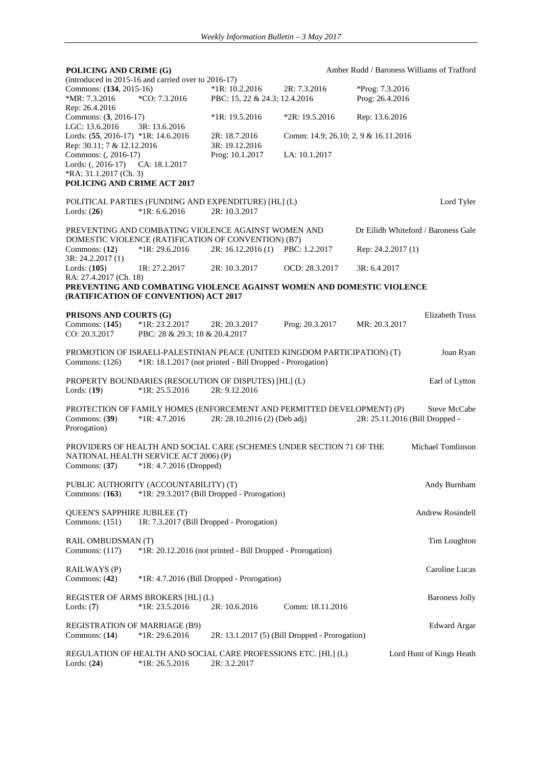| POLICING AND CRIME (G)                           |                                                                           |                                                            |                                      | Amber Rudd / Baroness Williams of Trafford                            |
|--------------------------------------------------|---------------------------------------------------------------------------|------------------------------------------------------------|--------------------------------------|-----------------------------------------------------------------------|
|                                                  | (introduced in 2015-16 and carried over to 2016-17)                       |                                                            |                                      |                                                                       |
| Commons: (134, 2015-16)                          |                                                                           | $*1R: 10.2.2016$                                           | 2R: 7.3.2016                         | *Prog: 7.3.2016                                                       |
| *MR: 7.3.2016<br>Rep: 26.4.2016                  | °CO: 7.3.2016                                                             | PBC: 15, 22 & 24.3; 12.4.2016                              |                                      | Prog: 26.4.2016                                                       |
| Commons: (3, 2016-17)<br>LGC: 13.6.2016          | 3R: 13.6.2016                                                             | $*1R: 19.5.2016$                                           | $*2R: 19.5.2016$                     | Rep: 13.6.2016                                                        |
| Lords: (55, 2016-17) *1R: 14.6.2016              |                                                                           | 2R: 18.7.2016                                              | Comm: 14.9; 26.10; 2, 9 & 16.11.2016 |                                                                       |
| Rep: 30.11; 7 & 12.12.2016                       |                                                                           | 3R: 19.12.2016                                             |                                      |                                                                       |
| Commons: (, 2016-17)                             |                                                                           | Prog: 10.1.2017                                            | LA: 10.1.2017                        |                                                                       |
| Lords: (, 2016-17)                               | CA: 18.1.2017                                                             |                                                            |                                      |                                                                       |
| *RA: 31.1.2017 (Ch. 3)                           |                                                                           |                                                            |                                      |                                                                       |
| POLICING AND CRIME ACT 2017                      |                                                                           |                                                            |                                      |                                                                       |
|                                                  | POLITICAL PARTIES (FUNDING AND EXPENDITURE) [HL] (L)                      |                                                            |                                      | Lord Tyler                                                            |
| Lords: $(26)$                                    | $*1R: 6.6.2016$                                                           | 2R: 10.3.2017                                              |                                      |                                                                       |
|                                                  | PREVENTING AND COMBATING VIOLENCE AGAINST WOMEN AND                       |                                                            |                                      | Dr Eilidh Whiteford / Baroness Gale                                   |
|                                                  | DOMESTIC VIOLENCE (RATIFICATION OF CONVENTION) (B7)                       |                                                            |                                      |                                                                       |
| Commons: $(12)$<br>3R: 24.2.2017 (1)             | $*1R: 29.6.2016$                                                          | 2R: 16.12.2016 (1) PBC: 1.2.2017                           |                                      | Rep: 24.2.2017 (1)                                                    |
| Lords: (105)<br>RA: 27.4.2017 (Ch. 18)           | 1R: 27.2.2017                                                             | 2R: 10.3.2017                                              | OCD: 28.3.2017                       | 3R: 6.4.2017                                                          |
|                                                  |                                                                           |                                                            |                                      | PREVENTING AND COMBATING VIOLENCE AGAINST WOMEN AND DOMESTIC VIOLENCE |
|                                                  | (RATIFICATION OF CONVENTION) ACT 2017                                     |                                                            |                                      |                                                                       |
| PRISONS AND COURTS (G)                           |                                                                           |                                                            |                                      | Elizabeth Truss                                                       |
| Commons: $(145)$                                 | $*1R: 23.2.2017$                                                          | 2R: 20.3.2017                                              | Prog: 20.3.2017                      | MR: 20.3.2017                                                         |
| CO: 20.3.2017                                    | PBC: 28 & 29.3; 18 & 20.4.2017                                            |                                                            |                                      |                                                                       |
|                                                  | PROMOTION OF ISRAELI-PALESTINIAN PEACE (UNITED KINGDOM PARTICIPATION) (T) |                                                            |                                      | Joan Ryan                                                             |
| Commons: (126)                                   |                                                                           | *1R: 18.1.2017 (not printed - Bill Dropped - Prorogation)  |                                      |                                                                       |
|                                                  | PROPERTY BOUNDARIES (RESOLUTION OF DISPUTES) [HL] (L)                     |                                                            |                                      | Earl of Lytton                                                        |
| Lords: $(19)$                                    | $*1R: 25.5.2016$                                                          | 2R: 9.12.2016                                              |                                      |                                                                       |
|                                                  |                                                                           |                                                            |                                      |                                                                       |
|                                                  | PROTECTION OF FAMILY HOMES (ENFORCEMENT AND PERMITTED DEVELOPMENT) (P)    |                                                            |                                      | Steve McCabe                                                          |
| Commons: (39)<br>Prorogation)                    | $*1R: 4.7.2016$                                                           | 2R: 28.10.2016 (2) (Deb adj)                               |                                      | 2R: 25.11.2016 (Bill Dropped -                                        |
|                                                  |                                                                           |                                                            |                                      |                                                                       |
|                                                  | PROVIDERS OF HEALTH AND SOCIAL CARE (SCHEMES UNDER SECTION 71 OF THE      |                                                            |                                      | Michael Tomlinson                                                     |
|                                                  | NATIONAL HEALTH SERVICE ACT 2006) (P)                                     |                                                            |                                      |                                                                       |
| Commons: $(37)$                                  | *1R: 4.7.2016 (Dropped)                                                   |                                                            |                                      |                                                                       |
|                                                  | PUBLIC AUTHORITY (ACCOUNTABILITY) (T)                                     |                                                            |                                      | Andy Burnham                                                          |
| Commons: $(163)$                                 |                                                                           | *1R: 29.3.2017 (Bill Dropped - Prorogation)                |                                      |                                                                       |
|                                                  |                                                                           |                                                            |                                      |                                                                       |
| QUEEN'S SAPPHIRE JUBILEE (T)<br>Commons: $(151)$ | 1R: 7.3.2017 (Bill Dropped - Prorogation)                                 |                                                            |                                      | Andrew Rosindell                                                      |
|                                                  |                                                                           |                                                            |                                      |                                                                       |
| RAIL OMBUDSMAN (T)                               |                                                                           |                                                            |                                      | Tim Loughton                                                          |
| Commons: $(117)$                                 |                                                                           | *1R: 20.12.2016 (not printed - Bill Dropped - Prorogation) |                                      |                                                                       |
|                                                  |                                                                           |                                                            |                                      |                                                                       |
| RAILWAYS (P)                                     |                                                                           |                                                            |                                      | Caroline Lucas                                                        |
| Commons: $(42)$                                  |                                                                           | *1R: 4.7.2016 (Bill Dropped - Prorogation)                 |                                      |                                                                       |
|                                                  | REGISTER OF ARMS BROKERS [HL] (L)                                         |                                                            |                                      | <b>Baroness Jolly</b>                                                 |
| Lords: $(7)$                                     | $*1R: 23.5.2016$                                                          | 2R: 10.6.2016                                              | Comm: 18.11.2016                     |                                                                       |
|                                                  |                                                                           |                                                            |                                      |                                                                       |
| <b>REGISTRATION OF MARRIAGE (B9)</b>             |                                                                           |                                                            |                                      | <b>Edward Argar</b>                                                   |
| Commons: $(14)$                                  | *1R: 29.6.2016                                                            | 2R: 13.1.2017 (5) (Bill Dropped - Prorogation)             |                                      |                                                                       |
|                                                  | REGULATION OF HEALTH AND SOCIAL CARE PROFESSIONS ETC. [HL] (L)            |                                                            |                                      | Lord Hunt of Kings Heath                                              |
| Lords: $(24)$                                    | $*1R: 26.5.2016$                                                          | 2R: 3.2.2017                                               |                                      |                                                                       |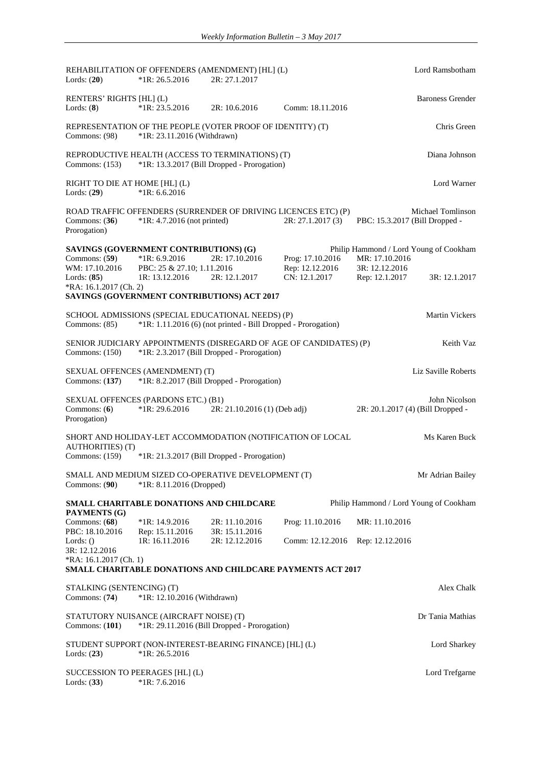| Lords: $(20)$                                                                                                         | $*1R: 26.5.2016$                                                                                          | REHABILITATION OF OFFENDERS (AMENDMENT) [HL] (L)<br>2R: 27.1.2017                                                       |                                                      | Lord Ramsbotham                                                                              |                         |
|-----------------------------------------------------------------------------------------------------------------------|-----------------------------------------------------------------------------------------------------------|-------------------------------------------------------------------------------------------------------------------------|------------------------------------------------------|----------------------------------------------------------------------------------------------|-------------------------|
| RENTERS' RIGHTS [HL] (L)<br>Lords: $(8)$                                                                              | $*1R: 23.5.2016$                                                                                          | 2R: 10.6.2016                                                                                                           | Comm: 18.11.2016                                     |                                                                                              | <b>Baroness Grender</b> |
| Commons: (98)                                                                                                         | *1R: 23.11.2016 (Withdrawn)                                                                               | REPRESENTATION OF THE PEOPLE (VOTER PROOF OF IDENTITY) (T)                                                              |                                                      |                                                                                              | Chris Green             |
| Commons: (153)                                                                                                        |                                                                                                           | REPRODUCTIVE HEALTH (ACCESS TO TERMINATIONS) (T)<br>*1R: 13.3.2017 (Bill Dropped - Prorogation)                         |                                                      |                                                                                              | Diana Johnson           |
| RIGHT TO DIE AT HOME [HL] (L)<br>Lords: $(29)$                                                                        | $*1R: 6.6.2016$                                                                                           |                                                                                                                         |                                                      |                                                                                              | Lord Warner             |
| Commons: $(36)$<br>Prorogation)                                                                                       | $*1R: 4.7.2016$ (not printed)                                                                             | ROAD TRAFFIC OFFENDERS (SURRENDER OF DRIVING LICENCES ETC) (P)                                                          | 2R: 27.1.2017(3)                                     | Michael Tomlinson<br>PBC: 15.3.2017 (Bill Dropped -                                          |                         |
| Commons: $(59)$<br>WM: 17.10.2016<br>Lords: $(85)$<br>*RA: 16.1.2017 (Ch. 2)                                          | SAVINGS (GOVERNMENT CONTRIBUTIONS) (G)<br>$*1R: 6.9.2016$<br>PBC: 25 & 27.10; 1.11.2016<br>IR: 13.12.2016 | 2R: 17.10.2016<br>2R: 12.1.2017<br>SAVINGS (GOVERNMENT CONTRIBUTIONS) ACT 2017                                          | Prog: 17.10.2016<br>Rep: 12.12.2016<br>CN: 12.1.2017 | Philip Hammond / Lord Young of Cookham<br>MR: 17.10.2016<br>3R: 12.12.2016<br>Rep: 12.1.2017 | 3R: 12.1.2017           |
| Commons: (85)                                                                                                         |                                                                                                           | SCHOOL ADMISSIONS (SPECIAL EDUCATIONAL NEEDS) (P)<br>*1R: 1.11.2016 (6) (not printed - Bill Dropped - Prorogation)      |                                                      |                                                                                              | <b>Martin Vickers</b>   |
| Commons: $(150)$                                                                                                      |                                                                                                           | SENIOR JUDICIARY APPOINTMENTS (DISREGARD OF AGE OF CANDIDATES) (P)<br>*1R: 2.3.2017 (Bill Dropped - Prorogation)        |                                                      |                                                                                              | Keith Vaz               |
| Commons: $(137)$                                                                                                      | SEXUAL OFFENCES (AMENDMENT) (T)                                                                           | *1R: 8.2.2017 (Bill Dropped - Prorogation)                                                                              |                                                      | Liz Saville Roberts                                                                          |                         |
| Commons: (6)<br>Prorogation)                                                                                          | SEXUAL OFFENCES (PARDONS ETC.) (B1)<br>$*1R: 29.6.2016$                                                   | 2R: 21.10.2016 (1) (Deb adj)                                                                                            |                                                      | 2R: 20.1.2017 (4) (Bill Dropped -                                                            | John Nicolson           |
| <b>AUTHORITIES</b> (T)<br>Commons: (159)                                                                              |                                                                                                           | SHORT AND HOLIDAY-LET ACCOMMODATION (NOTIFICATION OF LOCAL<br>*1R: 21.3.2017 (Bill Dropped - Prorogation)               |                                                      |                                                                                              | Ms Karen Buck           |
| Commons: (90)                                                                                                         | *1R: 8.11.2016 (Dropped)                                                                                  | SMALL AND MEDIUM SIZED CO-OPERATIVE DEVELOPMENT (T)                                                                     |                                                      |                                                                                              | Mr Adrian Bailey        |
| <b>PAYMENTS</b> (G)<br>Commons: $(68)$<br>PBC: 18.10.2016<br>Lords: $()$<br>3R: 12.12.2016<br>$RA: 16.1.2017$ (Ch. 1) | SMALL CHARITABLE DONATIONS AND CHILDCARE<br>$*1R: 14.9.2016$<br>Rep: 15.11.2016<br>1R: 16.11.2016         | 2R: 11.10.2016<br>3R: 15.11.2016<br>2R: 12.12.2016<br><b>SMALL CHARITABLE DONATIONS AND CHILDCARE PAYMENTS ACT 2017</b> | Prog: 11.10.2016<br>Comm: 12.12.2016                 | Philip Hammond / Lord Young of Cookham<br>MR: 11.10.2016<br>Rep: 12.12.2016                  |                         |
| STALKING (SENTENCING) (T)<br>Commons: $(74)$                                                                          | *1R: 12.10.2016 (Withdrawn)                                                                               |                                                                                                                         |                                                      |                                                                                              | Alex Chalk              |
| Commons: (101)                                                                                                        | STATUTORY NUISANCE (AIRCRAFT NOISE) (T)                                                                   | *1R: 29.11.2016 (Bill Dropped - Prorogation)                                                                            |                                                      |                                                                                              | Dr Tania Mathias        |
| Lords: $(23)$                                                                                                         | $*1R: 26.5.2016$                                                                                          | STUDENT SUPPORT (NON-INTEREST-BEARING FINANCE) [HL] (L)                                                                 |                                                      |                                                                                              | Lord Sharkey            |
| SUCCESSION TO PEERAGES [HL] (L)<br>Lords: $(33)$                                                                      | $*1R: 7.6.2016$                                                                                           |                                                                                                                         |                                                      |                                                                                              | Lord Trefgarne          |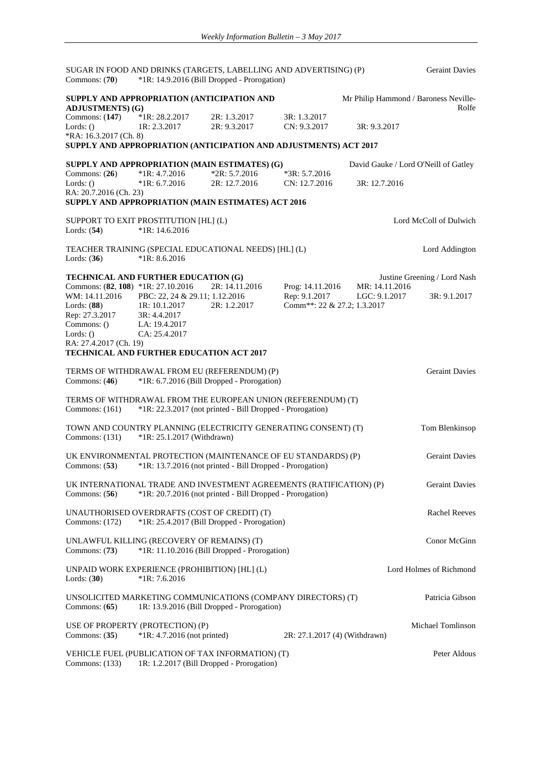| Commons: $(70)$                    |                                                           | SUGAR IN FOOD AND DRINKS (TARGETS, LABELLING AND ADVERTISING) (P)<br>*1R: 14.9.2016 (Bill Dropped - Prorogation)          |                               |                | <b>Geraint Davies</b>                 |
|------------------------------------|-----------------------------------------------------------|---------------------------------------------------------------------------------------------------------------------------|-------------------------------|----------------|---------------------------------------|
|                                    | SUPPLY AND APPROPRIATION (ANTICIPATION AND                |                                                                                                                           |                               |                | Mr Philip Hammond / Baroness Neville- |
| <b>ADJUSTMENTS</b> ) (G)           |                                                           |                                                                                                                           |                               |                | Rolfe                                 |
| Commons: $(147)$                   | $*1R: 28.2.2017$                                          | 2R: 1.3.2017                                                                                                              | 3R: 1.3.2017                  |                |                                       |
| Lords: $()$                        | 1R: 2.3.2017                                              | 2R: 9.3.2017                                                                                                              | CN: 9.3.2017                  | 3R: 9.3.2017   |                                       |
| *RA: 16.3.2017 (Ch. 8)             |                                                           | SUPPLY AND APPROPRIATION (ANTICIPATION AND ADJUSTMENTS) ACT 2017                                                          |                               |                |                                       |
|                                    |                                                           |                                                                                                                           |                               |                |                                       |
|                                    |                                                           | SUPPLY AND APPROPRIATION (MAIN ESTIMATES) (G)                                                                             |                               |                | David Gauke / Lord O'Neill of Gatley  |
| Commons: $(26)$                    | $*1R: 4.7.2016$                                           | $*2R: 5.7.2016$                                                                                                           | $*3R: 5.7.2016$               |                |                                       |
| Lords: $()$                        | $*1R: 6.7.2016$                                           | 2R: 12.7.2016                                                                                                             | CN: 12.7.2016                 | 3R: 12.7.2016  |                                       |
| RA: 20.7.2016 (Ch. 23)             |                                                           |                                                                                                                           |                               |                |                                       |
|                                    |                                                           | SUPPLY AND APPROPRIATION (MAIN ESTIMATES) ACT 2016                                                                        |                               |                |                                       |
| Lords: $(54)$                      | SUPPORT TO EXIT PROSTITUTION [HL] (L)<br>$*1R: 14.6.2016$ |                                                                                                                           |                               |                | Lord McColl of Dulwich                |
|                                    |                                                           |                                                                                                                           |                               |                |                                       |
| Lords: $(36)$                      | $*1R: 8.6.2016$                                           | TEACHER TRAINING (SPECIAL EDUCATIONAL NEEDS) [HL] (L)                                                                     |                               |                | Lord Addington                        |
|                                    | TECHNICAL AND FURTHER EDUCATION (G)                       |                                                                                                                           |                               |                | Justine Greening / Lord Nash          |
| Commons: (82, 108) *1R: 27.10.2016 |                                                           | 2R: 14.11.2016                                                                                                            | Prog: 14.11.2016              | MR: 14.11.2016 |                                       |
| WM: 14.11.2016                     | PBC: 22, 24 & 29.11; 1.12.2016                            |                                                                                                                           | Rep: 9.1.2017                 | LGC: 9.1.2017  | 3R: 9.1.2017                          |
| Lords: (88)                        | 1R: 10.1.2017                                             | 2R: 1.2.2017                                                                                                              | Comm**: 22 & 27.2; 1.3.2017   |                |                                       |
| Rep: 27.3.2017                     | 3R: 4.4.2017                                              |                                                                                                                           |                               |                |                                       |
| Commons: ()                        | LA: 19.4.2017                                             |                                                                                                                           |                               |                |                                       |
| Lords: $()$                        | CA: 25.4.2017                                             |                                                                                                                           |                               |                |                                       |
| RA: 27.4.2017 (Ch. 19)             |                                                           |                                                                                                                           |                               |                |                                       |
|                                    | <b>TECHNICAL AND FURTHER EDUCATION ACT 2017</b>           |                                                                                                                           |                               |                |                                       |
|                                    |                                                           | TERMS OF WITHDRAWAL FROM EU (REFERENDUM) (P)                                                                              |                               |                | <b>Geraint Davies</b>                 |
| Commons: $(46)$                    |                                                           | *1R: 6.7.2016 (Bill Dropped - Prorogation)                                                                                |                               |                |                                       |
| Commons: $(161)$                   |                                                           | TERMS OF WITHDRAWAL FROM THE EUROPEAN UNION (REFERENDUM) (T)<br>*1R: 22.3.2017 (not printed - Bill Dropped - Prorogation) |                               |                |                                       |
|                                    |                                                           |                                                                                                                           |                               |                |                                       |
| Commons: (131)                     | *1R: 25.1.2017 (Withdrawn)                                | TOWN AND COUNTRY PLANNING (ELECTRICITY GENERATING CONSENT) (T)                                                            |                               |                | Tom Blenkinsop                        |
|                                    |                                                           |                                                                                                                           |                               |                |                                       |
|                                    |                                                           | UK ENVIRONMENTAL PROTECTION (MAINTENANCE OF EU STANDARDS) (P)                                                             |                               |                | <b>Geraint Davies</b>                 |
| Commons: $(53)$                    |                                                           | *1R: 13.7.2016 (not printed - Bill Dropped - Prorogation)                                                                 |                               |                |                                       |
|                                    |                                                           |                                                                                                                           |                               |                |                                       |
|                                    |                                                           | UK INTERNATIONAL TRADE AND INVESTMENT AGREEMENTS (RATIFICATION) (P)                                                       |                               |                | <b>Geraint Davies</b>                 |
| Commons: $(56)$                    |                                                           | *1R: 20.7.2016 (not printed - Bill Dropped - Prorogation)                                                                 |                               |                |                                       |
|                                    | UNAUTHORISED OVERDRAFTS (COST OF CREDIT) (T)              |                                                                                                                           |                               |                | <b>Rachel Reeves</b>                  |
| Commons: $(172)$                   |                                                           | *1R: 25.4.2017 (Bill Dropped - Prorogation)                                                                               |                               |                |                                       |
|                                    |                                                           |                                                                                                                           |                               |                |                                       |
|                                    | UNLAWFUL KILLING (RECOVERY OF REMAINS) (T)                |                                                                                                                           |                               |                | Conor McGinn                          |
| Commons: $(73)$                    |                                                           | *1R: 11.10.2016 (Bill Dropped - Prorogation)                                                                              |                               |                |                                       |
|                                    |                                                           |                                                                                                                           |                               |                |                                       |
|                                    | UNPAID WORK EXPERIENCE (PROHIBITION) [HL] (L)             |                                                                                                                           |                               |                | Lord Holmes of Richmond               |
| Lords: $(30)$                      | $*1R: 7.6.2016$                                           |                                                                                                                           |                               |                |                                       |
|                                    |                                                           |                                                                                                                           |                               |                |                                       |
|                                    |                                                           | UNSOLICITED MARKETING COMMUNICATIONS (COMPANY DIRECTORS) (T)                                                              |                               |                | Patricia Gibson                       |
| Commons: $(65)$                    |                                                           | 1R: 13.9.2016 (Bill Dropped - Prorogation)                                                                                |                               |                |                                       |
|                                    | USE OF PROPERTY (PROTECTION) (P)                          |                                                                                                                           |                               |                | Michael Tomlinson                     |
| Commons: $(35)$                    | *1R: 4.7.2016 (not printed)                               |                                                                                                                           | 2R: 27.1.2017 (4) (Withdrawn) |                |                                       |
|                                    |                                                           |                                                                                                                           |                               |                |                                       |
| Commons: $(133)$                   |                                                           | VEHICLE FUEL (PUBLICATION OF TAX INFORMATION) (T)<br>1R: 1.2.2017 (Bill Dropped - Prorogation)                            |                               |                | Peter Aldous                          |